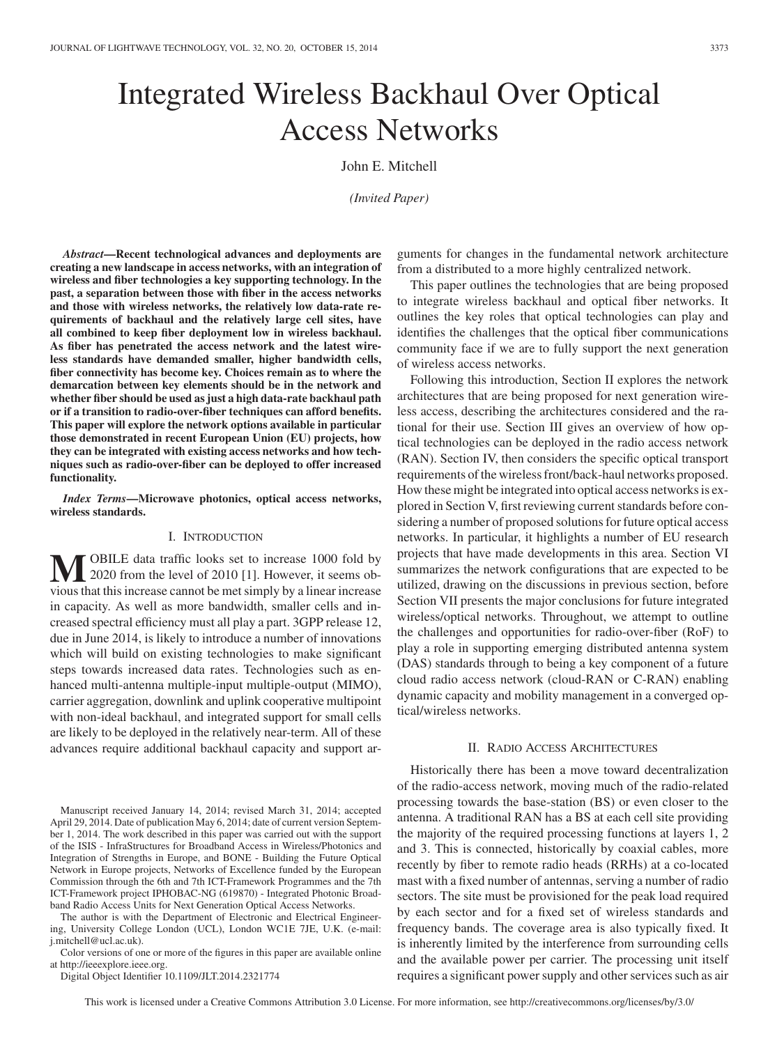# Integrated Wireless Backhaul Over Optical Access Networks

## John E. Mitchell

*(Invited Paper)*

*Abstract***—Recent technological advances and deployments are creating a new landscape in access networks, with an integration of wireless and fiber technologies a key supporting technology. In the past, a separation between those with fiber in the access networks and those with wireless networks, the relatively low data-rate requirements of backhaul and the relatively large cell sites, have all combined to keep fiber deployment low in wireless backhaul. As fiber has penetrated the access network and the latest wireless standards have demanded smaller, higher bandwidth cells, fiber connectivity has become key. Choices remain as to where the demarcation between key elements should be in the network and whether fiber should be used as just a high data-rate backhaul path or if a transition to radio-over-fiber techniques can afford benefits. This paper will explore the network options available in particular those demonstrated in recent European Union (EU) projects, how they can be integrated with existing access networks and how techniques such as radio-over-fiber can be deployed to offer increased functionality.**

*Index Terms***—Microwave photonics, optical access networks, wireless standards.**

## I. INTRODUCTION

OBILE data traffic looks set to increase 1000 fold by 2020 from the level of 2010 [1]. However, it seems obvious that this increase cannot be met simply by a linear increase in capacity. As well as more bandwidth, smaller cells and increased spectral efficiency must all play a part. 3GPP release 12, due in June 2014, is likely to introduce a number of innovations which will build on existing technologies to make significant steps towards increased data rates. Technologies such as enhanced multi-antenna multiple-input multiple-output (MIMO), carrier aggregation, downlink and uplink cooperative multipoint with non-ideal backhaul, and integrated support for small cells are likely to be deployed in the relatively near-term. All of these advances require additional backhaul capacity and support ar-

The author is with the Department of Electronic and Electrical Engineering, University College London (UCL), London WC1E 7JE, U.K. (e-mail: j.mitchell@ucl.ac.uk).

Color versions of one or more of the figures in this paper are available online at http://ieeexplore.ieee.org.

Digital Object Identifier 10.1109/JLT.2014.2321774

guments for changes in the fundamental network architecture from a distributed to a more highly centralized network.

This paper outlines the technologies that are being proposed to integrate wireless backhaul and optical fiber networks. It outlines the key roles that optical technologies can play and identifies the challenges that the optical fiber communications community face if we are to fully support the next generation of wireless access networks.

Following this introduction, Section II explores the network architectures that are being proposed for next generation wireless access, describing the architectures considered and the rational for their use. Section III gives an overview of how optical technologies can be deployed in the radio access network (RAN). Section IV, then considers the specific optical transport requirements of the wireless front/back-haul networks proposed. How these might be integrated into optical access networks is explored in Section V, first reviewing current standards before considering a number of proposed solutions for future optical access networks. In particular, it highlights a number of EU research projects that have made developments in this area. Section VI summarizes the network configurations that are expected to be utilized, drawing on the discussions in previous section, before Section VII presents the major conclusions for future integrated wireless/optical networks. Throughout, we attempt to outline the challenges and opportunities for radio-over-fiber (RoF) to play a role in supporting emerging distributed antenna system (DAS) standards through to being a key component of a future cloud radio access network (cloud-RAN or C-RAN) enabling dynamic capacity and mobility management in a converged optical/wireless networks.

## II. RADIO ACCESS ARCHITECTURES

Historically there has been a move toward decentralization of the radio-access network, moving much of the radio-related processing towards the base-station (BS) or even closer to the antenna. A traditional RAN has a BS at each cell site providing the majority of the required processing functions at layers 1, 2 and 3. This is connected, historically by coaxial cables, more recently by fiber to remote radio heads (RRHs) at a co-located mast with a fixed number of antennas, serving a number of radio sectors. The site must be provisioned for the peak load required by each sector and for a fixed set of wireless standards and frequency bands. The coverage area is also typically fixed. It is inherently limited by the interference from surrounding cells and the available power per carrier. The processing unit itself requires a significant power supply and other services such as air

Manuscript received January 14, 2014; revised March 31, 2014; accepted April 29, 2014. Date of publication May 6, 2014; date of current version September 1, 2014. The work described in this paper was carried out with the support of the ISIS - InfraStructures for Broadband Access in Wireless/Photonics and Integration of Strengths in Europe, and BONE - Building the Future Optical Network in Europe projects, Networks of Excellence funded by the European Commission through the 6th and 7th ICT-Framework Programmes and the 7th ICT-Framework project IPHOBAC-NG (619870) - Integrated Photonic Broadband Radio Access Units for Next Generation Optical Access Networks.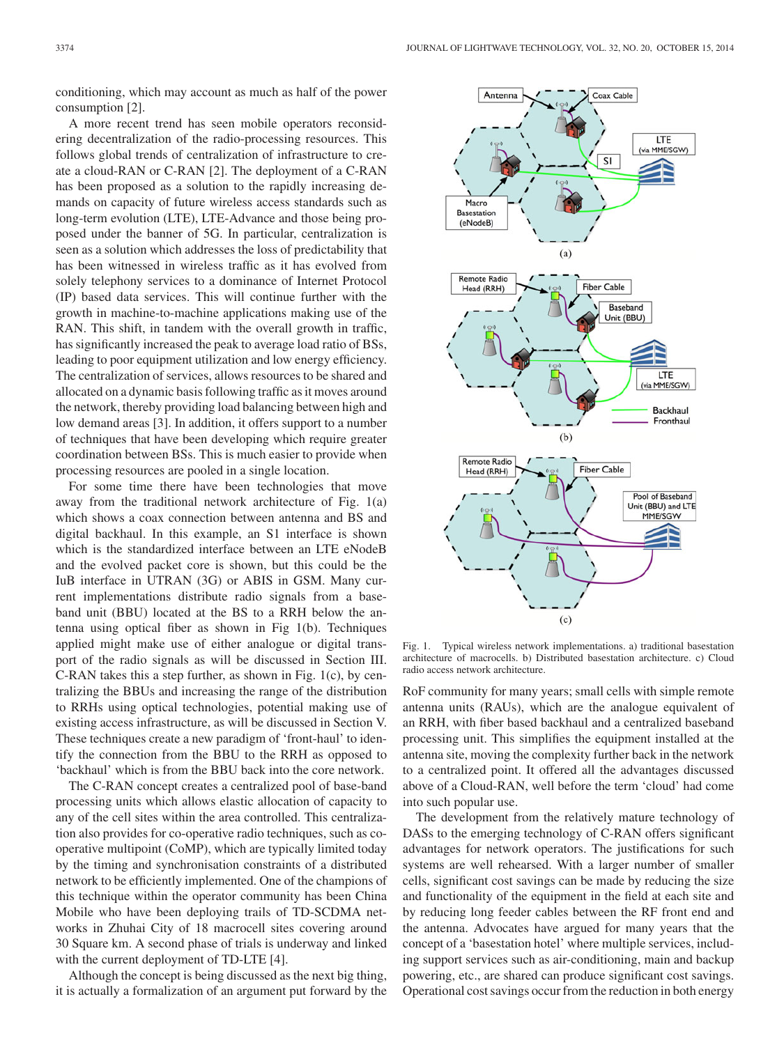conditioning, which may account as much as half of the power consumption [2].

A more recent trend has seen mobile operators reconsidering decentralization of the radio-processing resources. This follows global trends of centralization of infrastructure to create a cloud-RAN or C-RAN [2]. The deployment of a C-RAN has been proposed as a solution to the rapidly increasing demands on capacity of future wireless access standards such as long-term evolution (LTE), LTE-Advance and those being proposed under the banner of 5G. In particular, centralization is seen as a solution which addresses the loss of predictability that has been witnessed in wireless traffic as it has evolved from solely telephony services to a dominance of Internet Protocol (IP) based data services. This will continue further with the growth in machine-to-machine applications making use of the RAN. This shift, in tandem with the overall growth in traffic, has significantly increased the peak to average load ratio of BSs, leading to poor equipment utilization and low energy efficiency. The centralization of services, allows resources to be shared and allocated on a dynamic basis following traffic as it moves around the network, thereby providing load balancing between high and low demand areas [3]. In addition, it offers support to a number of techniques that have been developing which require greater coordination between BSs. This is much easier to provide when processing resources are pooled in a single location.

For some time there have been technologies that move away from the traditional network architecture of Fig. 1(a) which shows a coax connection between antenna and BS and digital backhaul. In this example, an S1 interface is shown which is the standardized interface between an LTE eNodeB and the evolved packet core is shown, but this could be the IuB interface in UTRAN (3G) or ABIS in GSM. Many current implementations distribute radio signals from a baseband unit (BBU) located at the BS to a RRH below the antenna using optical fiber as shown in Fig 1(b). Techniques applied might make use of either analogue or digital transport of the radio signals as will be discussed in Section III. C-RAN takes this a step further, as shown in Fig. 1(c), by centralizing the BBUs and increasing the range of the distribution to RRHs using optical technologies, potential making use of existing access infrastructure, as will be discussed in Section V. These techniques create a new paradigm of 'front-haul' to identify the connection from the BBU to the RRH as opposed to 'backhaul' which is from the BBU back into the core network.

The C-RAN concept creates a centralized pool of base-band processing units which allows elastic allocation of capacity to any of the cell sites within the area controlled. This centralization also provides for co-operative radio techniques, such as cooperative multipoint (CoMP), which are typically limited today by the timing and synchronisation constraints of a distributed network to be efficiently implemented. One of the champions of this technique within the operator community has been China Mobile who have been deploying trails of TD-SCDMA networks in Zhuhai City of 18 macrocell sites covering around 30 Square km. A second phase of trials is underway and linked with the current deployment of TD-LTE [4].

Although the concept is being discussed as the next big thing, it is actually a formalization of an argument put forward by the



Fig. 1. Typical wireless network implementations. a) traditional basestation architecture of macrocells. b) Distributed basestation architecture. c) Cloud radio access network architecture.

RoF community for many years; small cells with simple remote antenna units (RAUs), which are the analogue equivalent of an RRH, with fiber based backhaul and a centralized baseband processing unit. This simplifies the equipment installed at the antenna site, moving the complexity further back in the network to a centralized point. It offered all the advantages discussed above of a Cloud-RAN, well before the term 'cloud' had come into such popular use.

The development from the relatively mature technology of DASs to the emerging technology of C-RAN offers significant advantages for network operators. The justifications for such systems are well rehearsed. With a larger number of smaller cells, significant cost savings can be made by reducing the size and functionality of the equipment in the field at each site and by reducing long feeder cables between the RF front end and the antenna. Advocates have argued for many years that the concept of a 'basestation hotel' where multiple services, including support services such as air-conditioning, main and backup powering, etc., are shared can produce significant cost savings. Operational cost savings occur from the reduction in both energy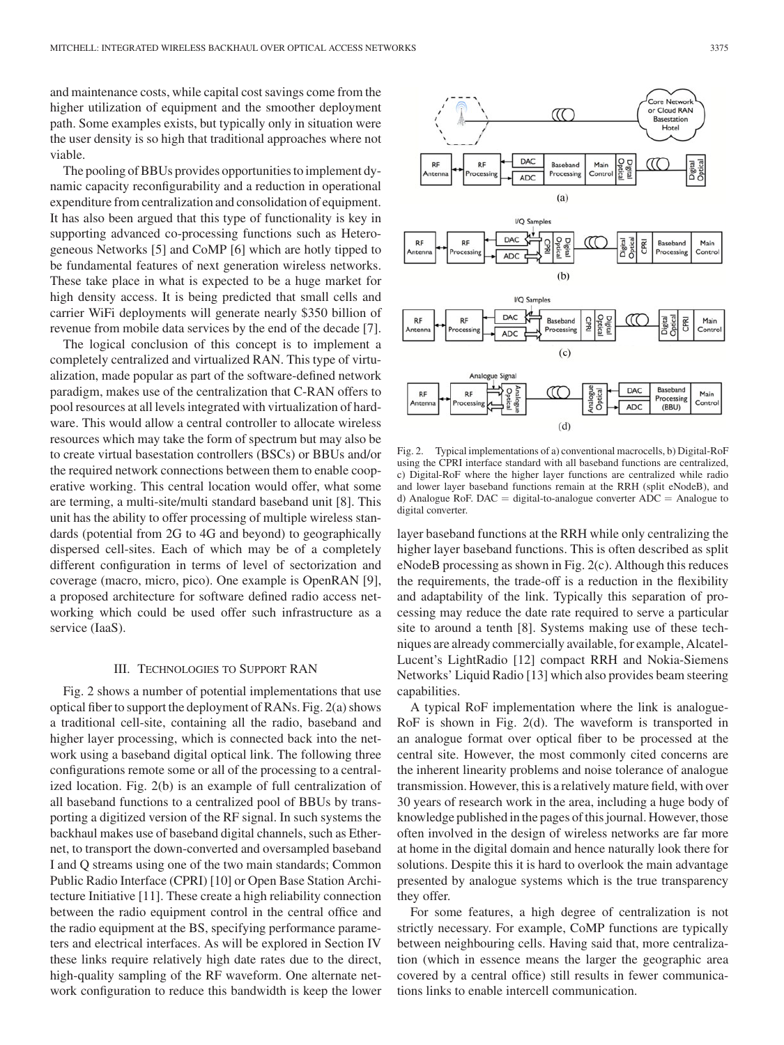and maintenance costs, while capital cost savings come from the higher utilization of equipment and the smoother deployment path. Some examples exists, but typically only in situation were the user density is so high that traditional approaches where not viable.

The pooling of BBUs provides opportunities to implement dynamic capacity reconfigurability and a reduction in operational expenditure from centralization and consolidation of equipment. It has also been argued that this type of functionality is key in supporting advanced co-processing functions such as Heterogeneous Networks [5] and CoMP [6] which are hotly tipped to be fundamental features of next generation wireless networks. These take place in what is expected to be a huge market for high density access. It is being predicted that small cells and carrier WiFi deployments will generate nearly \$350 billion of revenue from mobile data services by the end of the decade [7].

The logical conclusion of this concept is to implement a completely centralized and virtualized RAN. This type of virtualization, made popular as part of the software-defined network paradigm, makes use of the centralization that C-RAN offers to pool resources at all levels integrated with virtualization of hardware. This would allow a central controller to allocate wireless resources which may take the form of spectrum but may also be to create virtual basestation controllers (BSCs) or BBUs and/or the required network connections between them to enable cooperative working. This central location would offer, what some are terming, a multi-site/multi standard baseband unit [8]. This unit has the ability to offer processing of multiple wireless standards (potential from 2G to 4G and beyond) to geographically dispersed cell-sites. Each of which may be of a completely different configuration in terms of level of sectorization and coverage (macro, micro, pico). One example is OpenRAN [9], a proposed architecture for software defined radio access networking which could be used offer such infrastructure as a service (IaaS).

## III. TECHNOLOGIES TO SUPPORT RAN

Fig. 2 shows a number of potential implementations that use optical fiber to support the deployment of RANs. Fig. 2(a) shows a traditional cell-site, containing all the radio, baseband and higher layer processing, which is connected back into the network using a baseband digital optical link. The following three configurations remote some or all of the processing to a centralized location. Fig. 2(b) is an example of full centralization of all baseband functions to a centralized pool of BBUs by transporting a digitized version of the RF signal. In such systems the backhaul makes use of baseband digital channels, such as Ethernet, to transport the down-converted and oversampled baseband I and Q streams using one of the two main standards; Common Public Radio Interface (CPRI) [10] or Open Base Station Architecture Initiative [11]. These create a high reliability connection between the radio equipment control in the central office and the radio equipment at the BS, specifying performance parameters and electrical interfaces. As will be explored in Section IV these links require relatively high date rates due to the direct, high-quality sampling of the RF waveform. One alternate network configuration to reduce this bandwidth is keep the lower



Fig. 2. Typical implementations of a) conventional macrocells, b) Digital-RoF using the CPRI interface standard with all baseband functions are centralized, c) Digital-RoF where the higher layer functions are centralized while radio and lower layer baseband functions remain at the RRH (split eNodeB), and d) Analogue RoF. DAC = digital-to-analogue converter ADC = Analogue to digital converter.

layer baseband functions at the RRH while only centralizing the higher layer baseband functions. This is often described as split eNodeB processing as shown in Fig. 2(c). Although this reduces the requirements, the trade-off is a reduction in the flexibility and adaptability of the link. Typically this separation of processing may reduce the date rate required to serve a particular site to around a tenth [8]. Systems making use of these techniques are already commercially available, for example, Alcatel-Lucent's LightRadio [12] compact RRH and Nokia-Siemens Networks' Liquid Radio [13] which also provides beam steering capabilities.

A typical RoF implementation where the link is analogue-RoF is shown in Fig. 2(d). The waveform is transported in an analogue format over optical fiber to be processed at the central site. However, the most commonly cited concerns are the inherent linearity problems and noise tolerance of analogue transmission. However, this is a relatively mature field, with over 30 years of research work in the area, including a huge body of knowledge published in the pages of this journal. However, those often involved in the design of wireless networks are far more at home in the digital domain and hence naturally look there for solutions. Despite this it is hard to overlook the main advantage presented by analogue systems which is the true transparency they offer.

For some features, a high degree of centralization is not strictly necessary. For example, CoMP functions are typically between neighbouring cells. Having said that, more centralization (which in essence means the larger the geographic area covered by a central office) still results in fewer communications links to enable intercell communication.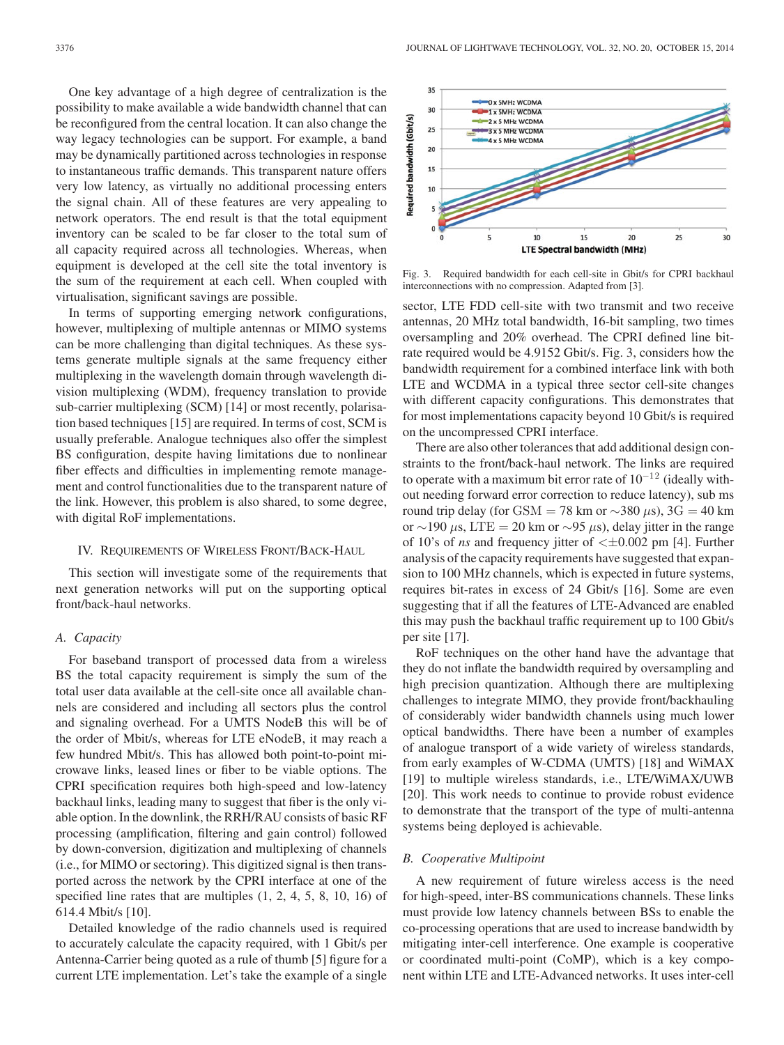One key advantage of a high degree of centralization is the possibility to make available a wide bandwidth channel that can be reconfigured from the central location. It can also change the way legacy technologies can be support. For example, a band may be dynamically partitioned across technologies in response to instantaneous traffic demands. This transparent nature offers very low latency, as virtually no additional processing enters the signal chain. All of these features are very appealing to network operators. The end result is that the total equipment inventory can be scaled to be far closer to the total sum of all capacity required across all technologies. Whereas, when equipment is developed at the cell site the total inventory is the sum of the requirement at each cell. When coupled with virtualisation, significant savings are possible.

In terms of supporting emerging network configurations, however, multiplexing of multiple antennas or MIMO systems can be more challenging than digital techniques. As these systems generate multiple signals at the same frequency either multiplexing in the wavelength domain through wavelength division multiplexing (WDM), frequency translation to provide sub-carrier multiplexing (SCM) [14] or most recently, polarisation based techniques [15] are required. In terms of cost, SCM is usually preferable. Analogue techniques also offer the simplest BS configuration, despite having limitations due to nonlinear fiber effects and difficulties in implementing remote management and control functionalities due to the transparent nature of the link. However, this problem is also shared, to some degree, with digital RoF implementations.

## IV. REQUIREMENTS OF WIRELESS FRONT/BACK-HAUL

This section will investigate some of the requirements that next generation networks will put on the supporting optical front/back-haul networks.

## *A. Capacity*

For baseband transport of processed data from a wireless BS the total capacity requirement is simply the sum of the total user data available at the cell-site once all available channels are considered and including all sectors plus the control and signaling overhead. For a UMTS NodeB this will be of the order of Mbit/s, whereas for LTE eNodeB, it may reach a few hundred Mbit/s. This has allowed both point-to-point microwave links, leased lines or fiber to be viable options. The CPRI specification requires both high-speed and low-latency backhaul links, leading many to suggest that fiber is the only viable option. In the downlink, the RRH/RAU consists of basic RF processing (amplification, filtering and gain control) followed by down-conversion, digitization and multiplexing of channels (i.e., for MIMO or sectoring). This digitized signal is then transported across the network by the CPRI interface at one of the specified line rates that are multiples (1, 2, 4, 5, 8, 10, 16) of 614.4 Mbit/s [10].

Detailed knowledge of the radio channels used is required to accurately calculate the capacity required, with 1 Gbit/s per Antenna-Carrier being quoted as a rule of thumb [5] figure for a current LTE implementation. Let's take the example of a single



Fig. 3. Required bandwidth for each cell-site in Gbit/s for CPRI backhaul interconnections with no compression. Adapted from [3].

sector, LTE FDD cell-site with two transmit and two receive antennas, 20 MHz total bandwidth, 16-bit sampling, two times oversampling and 20% overhead. The CPRI defined line bitrate required would be 4.9152 Gbit/s. Fig. 3, considers how the bandwidth requirement for a combined interface link with both LTE and WCDMA in a typical three sector cell-site changes with different capacity configurations. This demonstrates that for most implementations capacity beyond 10 Gbit/s is required on the uncompressed CPRI interface.

There are also other tolerances that add additional design constraints to the front/back-haul network. The links are required to operate with a maximum bit error rate of 10<sup>−</sup><sup>12</sup> (ideally without needing forward error correction to reduce latency), sub ms round trip delay (for GSM = 78 km or  $\sim$ 380 μs), 3G = 40 km or ~190  $\mu$ s, LTE = 20 km or ~95  $\mu$ s), delay jitter in the range of 10's of *ns* and frequency jitter of  $\leq \pm 0.002$  pm [4]. Further analysis of the capacity requirements have suggested that expansion to 100 MHz channels, which is expected in future systems, requires bit-rates in excess of 24 Gbit/s [16]. Some are even suggesting that if all the features of LTE-Advanced are enabled this may push the backhaul traffic requirement up to 100 Gbit/s per site [17].

RoF techniques on the other hand have the advantage that they do not inflate the bandwidth required by oversampling and high precision quantization. Although there are multiplexing challenges to integrate MIMO, they provide front/backhauling of considerably wider bandwidth channels using much lower optical bandwidths. There have been a number of examples of analogue transport of a wide variety of wireless standards, from early examples of W-CDMA (UMTS) [18] and WiMAX [19] to multiple wireless standards, i.e., LTE/WiMAX/UWB [20]. This work needs to continue to provide robust evidence to demonstrate that the transport of the type of multi-antenna systems being deployed is achievable.

## *B. Cooperative Multipoint*

A new requirement of future wireless access is the need for high-speed, inter-BS communications channels. These links must provide low latency channels between BSs to enable the co-processing operations that are used to increase bandwidth by mitigating inter-cell interference. One example is cooperative or coordinated multi-point (CoMP), which is a key component within LTE and LTE-Advanced networks. It uses inter-cell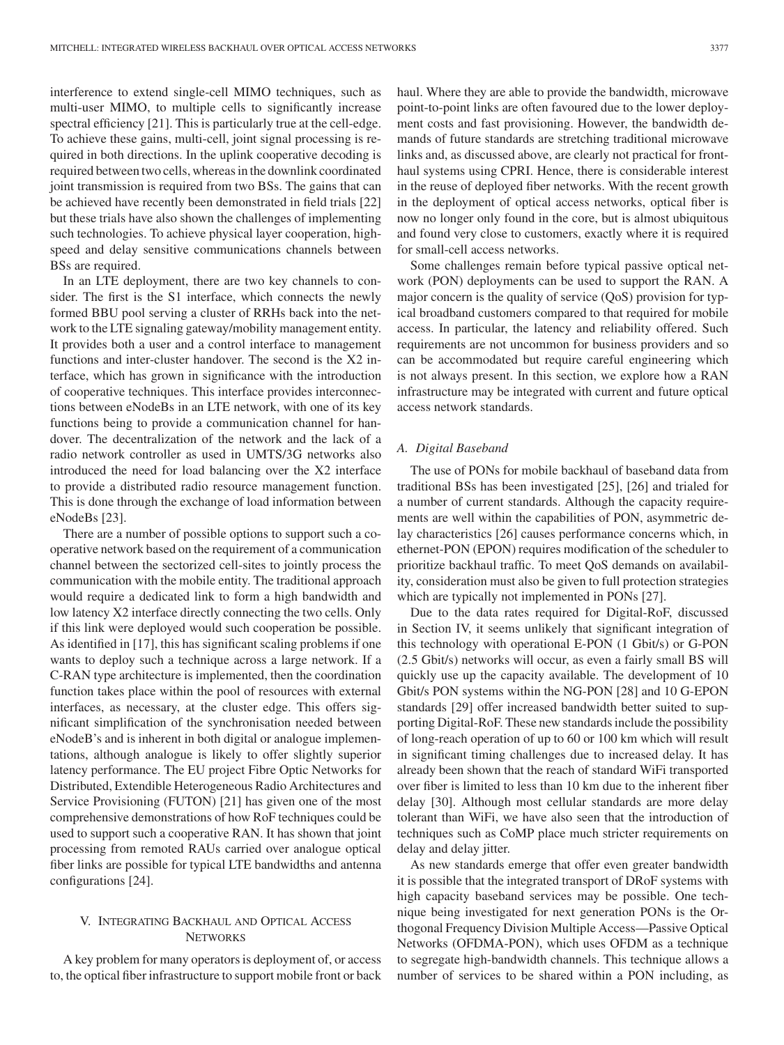interference to extend single-cell MIMO techniques, such as multi-user MIMO, to multiple cells to significantly increase spectral efficiency [21]. This is particularly true at the cell-edge. To achieve these gains, multi-cell, joint signal processing is required in both directions. In the uplink cooperative decoding is required between two cells, whereas in the downlink coordinated joint transmission is required from two BSs. The gains that can be achieved have recently been demonstrated in field trials [22] but these trials have also shown the challenges of implementing such technologies. To achieve physical layer cooperation, highspeed and delay sensitive communications channels between BSs are required.

In an LTE deployment, there are two key channels to consider. The first is the S1 interface, which connects the newly formed BBU pool serving a cluster of RRHs back into the network to the LTE signaling gateway/mobility management entity. It provides both a user and a control interface to management functions and inter-cluster handover. The second is the X2 interface, which has grown in significance with the introduction of cooperative techniques. This interface provides interconnections between eNodeBs in an LTE network, with one of its key functions being to provide a communication channel for handover. The decentralization of the network and the lack of a radio network controller as used in UMTS/3G networks also introduced the need for load balancing over the X2 interface to provide a distributed radio resource management function. This is done through the exchange of load information between eNodeBs [23].

There are a number of possible options to support such a cooperative network based on the requirement of a communication channel between the sectorized cell-sites to jointly process the communication with the mobile entity. The traditional approach would require a dedicated link to form a high bandwidth and low latency X2 interface directly connecting the two cells. Only if this link were deployed would such cooperation be possible. As identified in [17], this has significant scaling problems if one wants to deploy such a technique across a large network. If a C-RAN type architecture is implemented, then the coordination function takes place within the pool of resources with external interfaces, as necessary, at the cluster edge. This offers significant simplification of the synchronisation needed between eNodeB's and is inherent in both digital or analogue implementations, although analogue is likely to offer slightly superior latency performance. The EU project Fibre Optic Networks for Distributed, Extendible Heterogeneous Radio Architectures and Service Provisioning (FUTON) [21] has given one of the most comprehensive demonstrations of how RoF techniques could be used to support such a cooperative RAN. It has shown that joint processing from remoted RAUs carried over analogue optical fiber links are possible for typical LTE bandwidths and antenna configurations [24].

## V. INTEGRATING BACKHAUL AND OPTICAL ACCESS **NETWORKS**

A key problem for many operators is deployment of, or access to, the optical fiber infrastructure to support mobile front or back haul. Where they are able to provide the bandwidth, microwave point-to-point links are often favoured due to the lower deployment costs and fast provisioning. However, the bandwidth demands of future standards are stretching traditional microwave links and, as discussed above, are clearly not practical for fronthaul systems using CPRI. Hence, there is considerable interest in the reuse of deployed fiber networks. With the recent growth in the deployment of optical access networks, optical fiber is now no longer only found in the core, but is almost ubiquitous and found very close to customers, exactly where it is required for small-cell access networks.

Some challenges remain before typical passive optical network (PON) deployments can be used to support the RAN. A major concern is the quality of service (QoS) provision for typical broadband customers compared to that required for mobile access. In particular, the latency and reliability offered. Such requirements are not uncommon for business providers and so can be accommodated but require careful engineering which is not always present. In this section, we explore how a RAN infrastructure may be integrated with current and future optical access network standards.

## *A. Digital Baseband*

The use of PONs for mobile backhaul of baseband data from traditional BSs has been investigated [25], [26] and trialed for a number of current standards. Although the capacity requirements are well within the capabilities of PON, asymmetric delay characteristics [26] causes performance concerns which, in ethernet-PON (EPON) requires modification of the scheduler to prioritize backhaul traffic. To meet QoS demands on availability, consideration must also be given to full protection strategies which are typically not implemented in PONs [27].

Due to the data rates required for Digital-RoF, discussed in Section IV, it seems unlikely that significant integration of this technology with operational E-PON (1 Gbit/s) or G-PON (2.5 Gbit/s) networks will occur, as even a fairly small BS will quickly use up the capacity available. The development of 10 Gbit/s PON systems within the NG-PON [28] and 10 G-EPON standards [29] offer increased bandwidth better suited to supporting Digital-RoF. These new standards include the possibility of long-reach operation of up to 60 or 100 km which will result in significant timing challenges due to increased delay. It has already been shown that the reach of standard WiFi transported over fiber is limited to less than 10 km due to the inherent fiber delay [30]. Although most cellular standards are more delay tolerant than WiFi, we have also seen that the introduction of techniques such as CoMP place much stricter requirements on delay and delay jitter.

As new standards emerge that offer even greater bandwidth it is possible that the integrated transport of DRoF systems with high capacity baseband services may be possible. One technique being investigated for next generation PONs is the Orthogonal Frequency Division Multiple Access—Passive Optical Networks (OFDMA-PON), which uses OFDM as a technique to segregate high-bandwidth channels. This technique allows a number of services to be shared within a PON including, as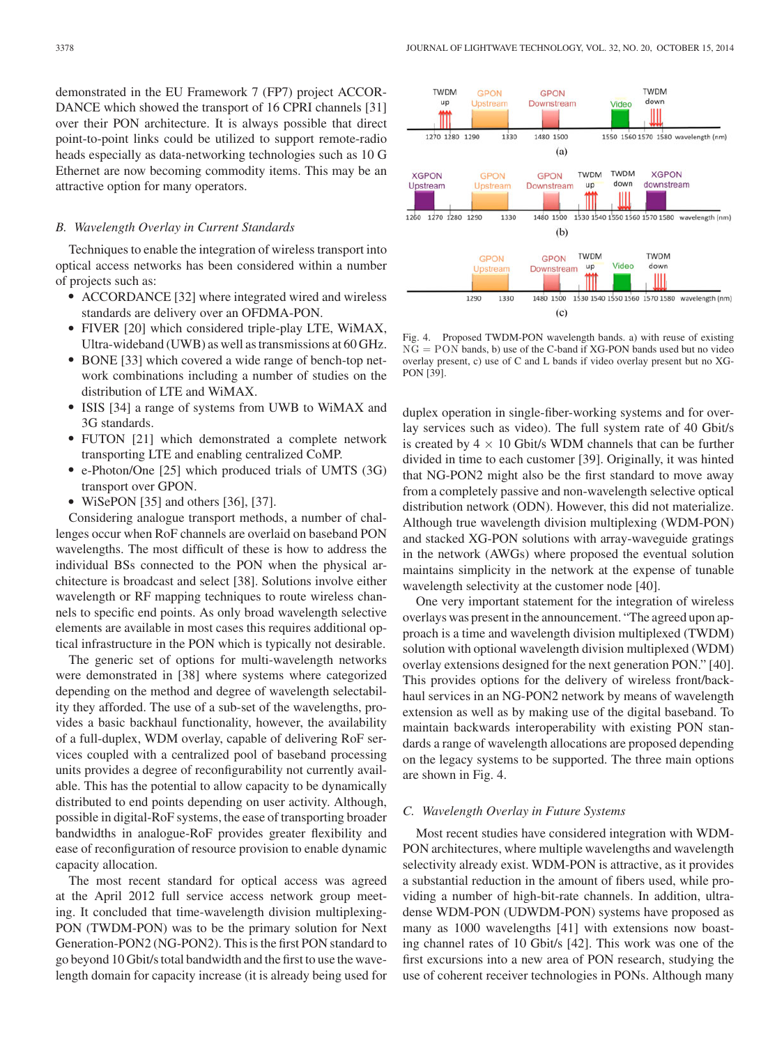demonstrated in the EU Framework 7 (FP7) project ACCOR-DANCE which showed the transport of 16 CPRI channels [31] over their PON architecture. It is always possible that direct point-to-point links could be utilized to support remote-radio heads especially as data-networking technologies such as 10 G Ethernet are now becoming commodity items. This may be an attractive option for many operators.

### *B. Wavelength Overlay in Current Standards*

Techniques to enable the integration of wireless transport into optical access networks has been considered within a number of projects such as:

- ACCORDANCE [32] where integrated wired and wireless standards are delivery over an OFDMA-PON.
- FIVER [20] which considered triple-play LTE, WiMAX, Ultra-wideband (UWB) as well as transmissions at 60 GHz.
- BONE [33] which covered a wide range of bench-top network combinations including a number of studies on the distribution of LTE and WiMAX.
- ISIS [34] a range of systems from UWB to WiMAX and 3G standards.
- FUTON [21] which demonstrated a complete network transporting LTE and enabling centralized CoMP.
- $\bullet$  e-Photon/One [25] which produced trials of UMTS (3G) transport over GPON.
- WiSePON [35] and others [36], [37].

Considering analogue transport methods, a number of challenges occur when RoF channels are overlaid on baseband PON wavelengths. The most difficult of these is how to address the individual BSs connected to the PON when the physical architecture is broadcast and select [38]. Solutions involve either wavelength or RF mapping techniques to route wireless channels to specific end points. As only broad wavelength selective elements are available in most cases this requires additional optical infrastructure in the PON which is typically not desirable.

The generic set of options for multi-wavelength networks were demonstrated in [38] where systems where categorized depending on the method and degree of wavelength selectability they afforded. The use of a sub-set of the wavelengths, provides a basic backhaul functionality, however, the availability of a full-duplex, WDM overlay, capable of delivering RoF services coupled with a centralized pool of baseband processing units provides a degree of reconfigurability not currently available. This has the potential to allow capacity to be dynamically distributed to end points depending on user activity. Although, possible in digital-RoF systems, the ease of transporting broader bandwidths in analogue-RoF provides greater flexibility and ease of reconfiguration of resource provision to enable dynamic capacity allocation.

The most recent standard for optical access was agreed at the April 2012 full service access network group meeting. It concluded that time-wavelength division multiplexing-PON (TWDM-PON) was to be the primary solution for Next Generation-PON2 (NG-PON2). This is the first PON standard to go beyond 10 Gbit/s total bandwidth and the first to use the wavelength domain for capacity increase (it is already being used for



Fig. 4. Proposed TWDM-PON wavelength bands. a) with reuse of existing  $NG = PON$  bands, b) use of the C-band if  $XG-PON$  bands used but no video overlay present, c) use of C and L bands if video overlay present but no XG-PON [39].

duplex operation in single-fiber-working systems and for overlay services such as video). The full system rate of 40 Gbit/s is created by  $4 \times 10$  Gbit/s WDM channels that can be further divided in time to each customer [39]. Originally, it was hinted that NG-PON2 might also be the first standard to move away from a completely passive and non-wavelength selective optical distribution network (ODN). However, this did not materialize. Although true wavelength division multiplexing (WDM-PON) and stacked XG-PON solutions with array-waveguide gratings in the network (AWGs) where proposed the eventual solution maintains simplicity in the network at the expense of tunable wavelength selectivity at the customer node [40].

One very important statement for the integration of wireless overlays was present in the announcement. "The agreed upon approach is a time and wavelength division multiplexed (TWDM) solution with optional wavelength division multiplexed (WDM) overlay extensions designed for the next generation PON." [40]. This provides options for the delivery of wireless front/backhaul services in an NG-PON2 network by means of wavelength extension as well as by making use of the digital baseband. To maintain backwards interoperability with existing PON standards a range of wavelength allocations are proposed depending on the legacy systems to be supported. The three main options are shown in Fig. 4.

## *C. Wavelength Overlay in Future Systems*

Most recent studies have considered integration with WDM-PON architectures, where multiple wavelengths and wavelength selectivity already exist. WDM-PON is attractive, as it provides a substantial reduction in the amount of fibers used, while providing a number of high-bit-rate channels. In addition, ultradense WDM-PON (UDWDM-PON) systems have proposed as many as 1000 wavelengths [41] with extensions now boasting channel rates of 10 Gbit/s [42]. This work was one of the first excursions into a new area of PON research, studying the use of coherent receiver technologies in PONs. Although many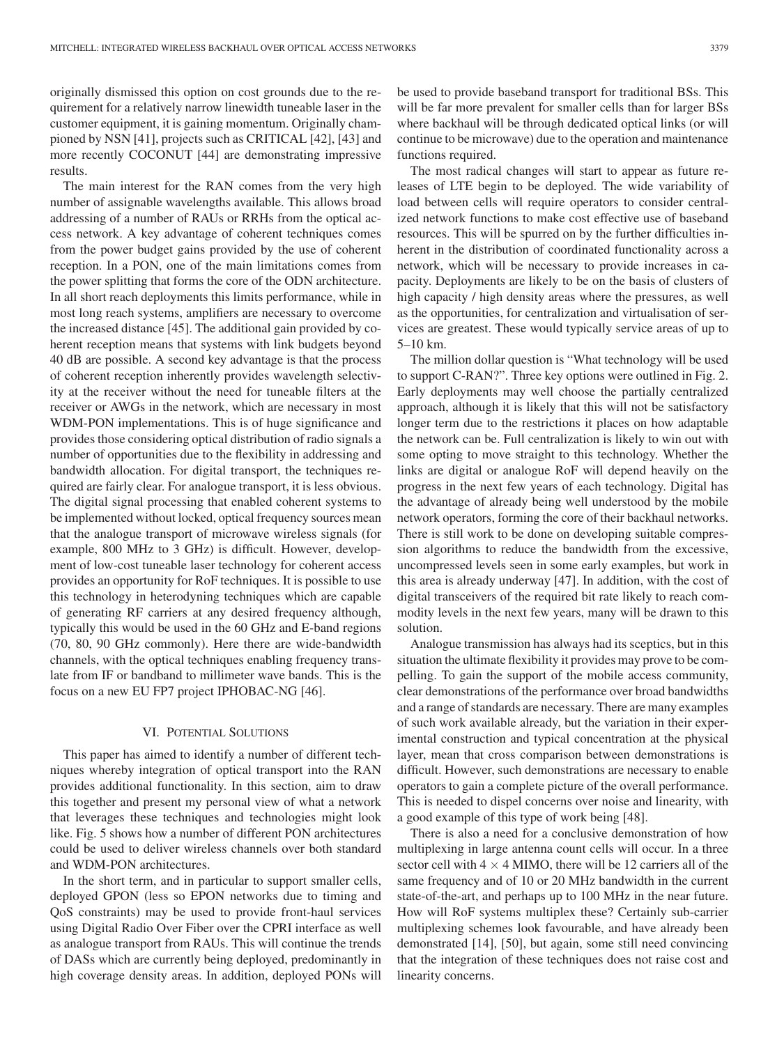originally dismissed this option on cost grounds due to the requirement for a relatively narrow linewidth tuneable laser in the customer equipment, it is gaining momentum. Originally championed by NSN [41], projects such as CRITICAL [42], [43] and more recently COCONUT [44] are demonstrating impressive results.

The main interest for the RAN comes from the very high number of assignable wavelengths available. This allows broad addressing of a number of RAUs or RRHs from the optical access network. A key advantage of coherent techniques comes from the power budget gains provided by the use of coherent reception. In a PON, one of the main limitations comes from the power splitting that forms the core of the ODN architecture. In all short reach deployments this limits performance, while in most long reach systems, amplifiers are necessary to overcome the increased distance [45]. The additional gain provided by coherent reception means that systems with link budgets beyond 40 dB are possible. A second key advantage is that the process of coherent reception inherently provides wavelength selectivity at the receiver without the need for tuneable filters at the receiver or AWGs in the network, which are necessary in most WDM-PON implementations. This is of huge significance and provides those considering optical distribution of radio signals a number of opportunities due to the flexibility in addressing and bandwidth allocation. For digital transport, the techniques required are fairly clear. For analogue transport, it is less obvious. The digital signal processing that enabled coherent systems to be implemented without locked, optical frequency sources mean that the analogue transport of microwave wireless signals (for example, 800 MHz to 3 GHz) is difficult. However, development of low-cost tuneable laser technology for coherent access provides an opportunity for RoF techniques. It is possible to use this technology in heterodyning techniques which are capable of generating RF carriers at any desired frequency although, typically this would be used in the 60 GHz and E-band regions (70, 80, 90 GHz commonly). Here there are wide-bandwidth channels, with the optical techniques enabling frequency translate from IF or bandband to millimeter wave bands. This is the focus on a new EU FP7 project IPHOBAC-NG [46].

## VI. POTENTIAL SOLUTIONS

This paper has aimed to identify a number of different techniques whereby integration of optical transport into the RAN provides additional functionality. In this section, aim to draw this together and present my personal view of what a network that leverages these techniques and technologies might look like. Fig. 5 shows how a number of different PON architectures could be used to deliver wireless channels over both standard and WDM-PON architectures.

In the short term, and in particular to support smaller cells, deployed GPON (less so EPON networks due to timing and QoS constraints) may be used to provide front-haul services using Digital Radio Over Fiber over the CPRI interface as well as analogue transport from RAUs. This will continue the trends of DASs which are currently being deployed, predominantly in high coverage density areas. In addition, deployed PONs will

be used to provide baseband transport for traditional BSs. This will be far more prevalent for smaller cells than for larger BSs where backhaul will be through dedicated optical links (or will continue to be microwave) due to the operation and maintenance functions required.

The most radical changes will start to appear as future releases of LTE begin to be deployed. The wide variability of load between cells will require operators to consider centralized network functions to make cost effective use of baseband resources. This will be spurred on by the further difficulties inherent in the distribution of coordinated functionality across a network, which will be necessary to provide increases in capacity. Deployments are likely to be on the basis of clusters of high capacity / high density areas where the pressures, as well as the opportunities, for centralization and virtualisation of services are greatest. These would typically service areas of up to 5–10 km.

The million dollar question is "What technology will be used to support C-RAN?". Three key options were outlined in Fig. 2. Early deployments may well choose the partially centralized approach, although it is likely that this will not be satisfactory longer term due to the restrictions it places on how adaptable the network can be. Full centralization is likely to win out with some opting to move straight to this technology. Whether the links are digital or analogue RoF will depend heavily on the progress in the next few years of each technology. Digital has the advantage of already being well understood by the mobile network operators, forming the core of their backhaul networks. There is still work to be done on developing suitable compression algorithms to reduce the bandwidth from the excessive, uncompressed levels seen in some early examples, but work in this area is already underway [47]. In addition, with the cost of digital transceivers of the required bit rate likely to reach commodity levels in the next few years, many will be drawn to this solution.

Analogue transmission has always had its sceptics, but in this situation the ultimate flexibility it provides may prove to be compelling. To gain the support of the mobile access community, clear demonstrations of the performance over broad bandwidths and a range of standards are necessary. There are many examples of such work available already, but the variation in their experimental construction and typical concentration at the physical layer, mean that cross comparison between demonstrations is difficult. However, such demonstrations are necessary to enable operators to gain a complete picture of the overall performance. This is needed to dispel concerns over noise and linearity, with a good example of this type of work being [48].

There is also a need for a conclusive demonstration of how multiplexing in large antenna count cells will occur. In a three sector cell with  $4 \times 4$  MIMO, there will be 12 carriers all of the same frequency and of 10 or 20 MHz bandwidth in the current state-of-the-art, and perhaps up to 100 MHz in the near future. How will RoF systems multiplex these? Certainly sub-carrier multiplexing schemes look favourable, and have already been demonstrated [14], [50], but again, some still need convincing that the integration of these techniques does not raise cost and linearity concerns.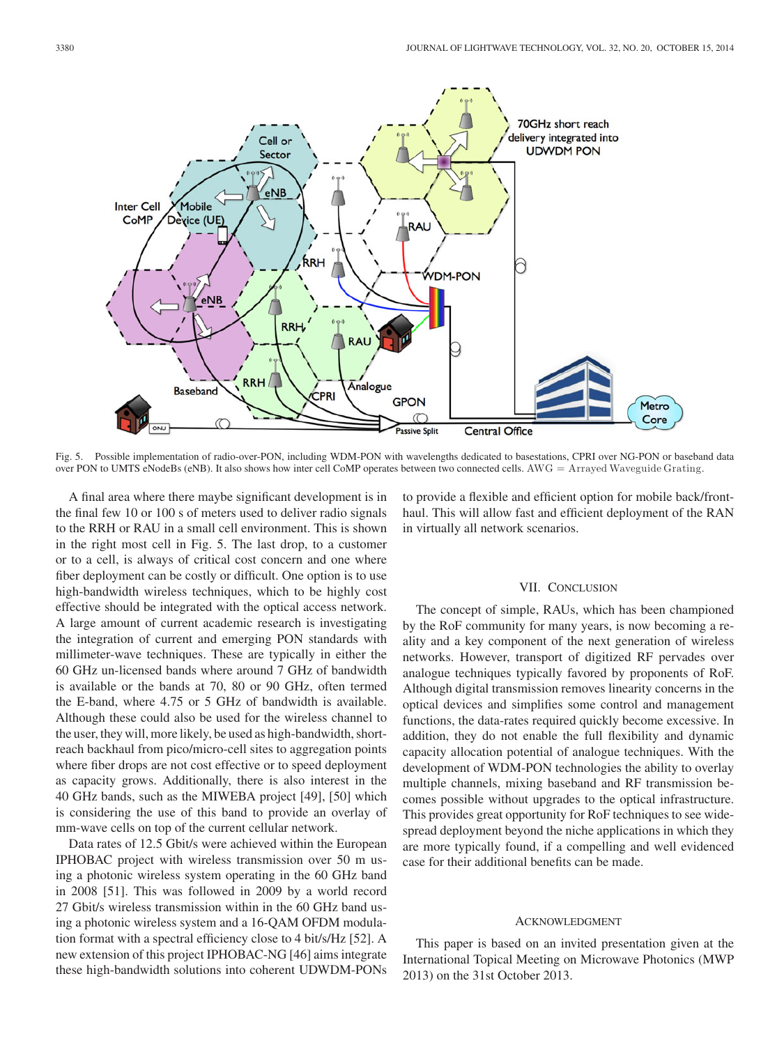

Fig. 5. Possible implementation of radio-over-PON, including WDM-PON with wavelengths dedicated to basestations, CPRI over NG-PON or baseband data over PON to UMTS eNodeBs (eNB). It also shows how inter cell CoMP operates between two connected cells. AWG = Arrayed Waveguide Grating.

A final area where there maybe significant development is in the final few 10 or 100 s of meters used to deliver radio signals to the RRH or RAU in a small cell environment. This is shown in the right most cell in Fig. 5. The last drop, to a customer or to a cell, is always of critical cost concern and one where fiber deployment can be costly or difficult. One option is to use high-bandwidth wireless techniques, which to be highly cost effective should be integrated with the optical access network. A large amount of current academic research is investigating the integration of current and emerging PON standards with millimeter-wave techniques. These are typically in either the 60 GHz un-licensed bands where around 7 GHz of bandwidth is available or the bands at 70, 80 or 90 GHz, often termed the E-band, where 4.75 or 5 GHz of bandwidth is available. Although these could also be used for the wireless channel to the user, they will, more likely, be used as high-bandwidth, shortreach backhaul from pico/micro-cell sites to aggregation points where fiber drops are not cost effective or to speed deployment as capacity grows. Additionally, there is also interest in the 40 GHz bands, such as the MIWEBA project [49], [50] which is considering the use of this band to provide an overlay of mm-wave cells on top of the current cellular network.

Data rates of 12.5 Gbit/s were achieved within the European IPHOBAC project with wireless transmission over 50 m using a photonic wireless system operating in the 60 GHz band in 2008 [51]. This was followed in 2009 by a world record 27 Gbit/s wireless transmission within in the 60 GHz band using a photonic wireless system and a 16-QAM OFDM modulation format with a spectral efficiency close to 4 bit/s/Hz [52]. A new extension of this project IPHOBAC-NG [46] aims integrate these high-bandwidth solutions into coherent UDWDM-PONs

to provide a flexible and efficient option for mobile back/fronthaul. This will allow fast and efficient deployment of the RAN in virtually all network scenarios.

## VII. CONCLUSION

The concept of simple, RAUs, which has been championed by the RoF community for many years, is now becoming a reality and a key component of the next generation of wireless networks. However, transport of digitized RF pervades over analogue techniques typically favored by proponents of RoF. Although digital transmission removes linearity concerns in the optical devices and simplifies some control and management functions, the data-rates required quickly become excessive. In addition, they do not enable the full flexibility and dynamic capacity allocation potential of analogue techniques. With the development of WDM-PON technologies the ability to overlay multiple channels, mixing baseband and RF transmission becomes possible without upgrades to the optical infrastructure. This provides great opportunity for RoF techniques to see widespread deployment beyond the niche applications in which they are more typically found, if a compelling and well evidenced case for their additional benefits can be made.

## ACKNOWLEDGMENT

This paper is based on an invited presentation given at the International Topical Meeting on Microwave Photonics (MWP 2013) on the 31st October 2013.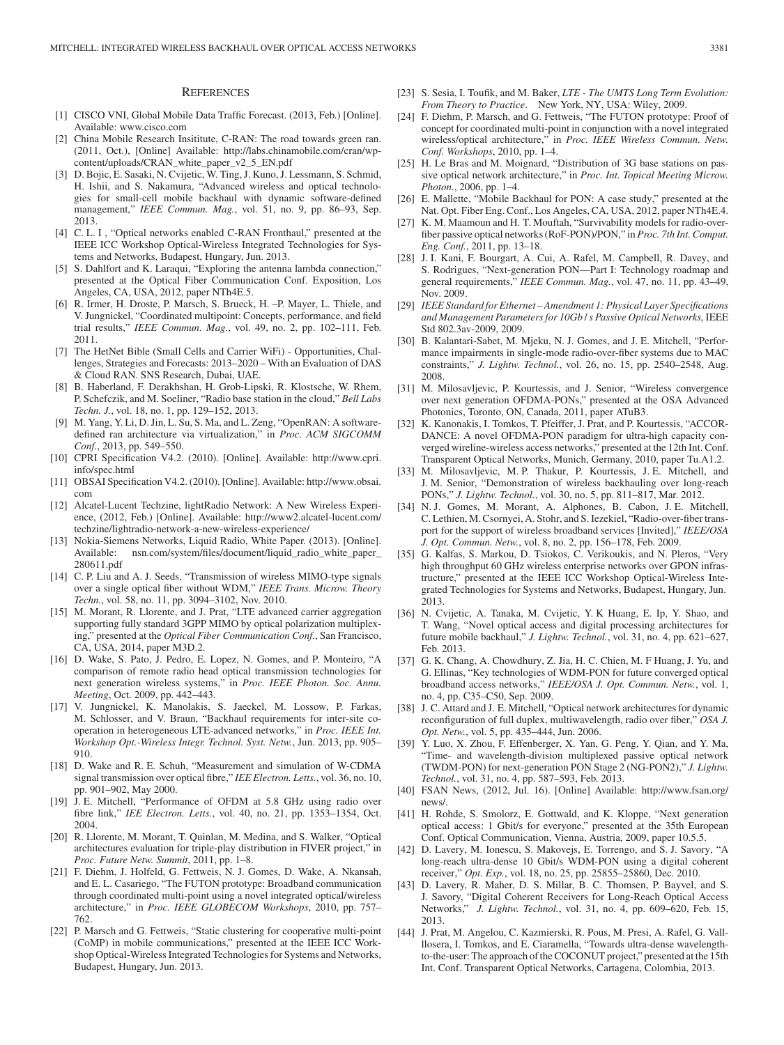#### **REFERENCES**

- [1] CISCO VNI, Global Mobile Data Traffic Forecast. (2013, Feb.) [Online]. Available: www.cisco.com
- [2] China Mobile Research Insititute, C-RAN: The road towards green ran. (2011, Oct.), [Online] Available: http://labs.chinamobile.com/cran/wpcontent/uploads/CRAN\_white\_paper\_v2\_5\_EN.pdf
- [3] D. Bojic, E. Sasaki, N. Cvijetic, W. Ting, J. Kuno, J. Lessmann, S. Schmid, H. Ishii, and S. Nakamura, "Advanced wireless and optical technologies for small-cell mobile backhaul with dynamic software-defined management," *IEEE Commun. Mag.*, vol. 51, no. 9, pp. 86–93, Sep. 2013.
- [4] C. L. I, "Optical networks enabled C-RAN Fronthaul," presented at the IEEE ICC Workshop Optical-Wireless Integrated Technologies for Systems and Networks, Budapest, Hungary, Jun. 2013.
- [5] S. Dahlfort and K. Laraqui, "Exploring the antenna lambda connection," presented at the Optical Fiber Communication Conf. Exposition, Los Angeles, CA, USA, 2012, paper NTh4E.5.
- [6] R. Irmer, H. Droste, P. Marsch, S. Brueck, H. –P. Mayer, L. Thiele, and V. Jungnickel, "Coordinated multipoint: Concepts, performance, and field trial results," *IEEE Commun. Mag.*, vol. 49, no. 2, pp. 102–111, Feb. 2011.
- [7] The HetNet Bible (Small Cells and Carrier WiFi) Opportunities, Challenges, Strategies and Forecasts: 2013–2020 – With an Evaluation of DAS & Cloud RAN. SNS Research, Dubai, UAE.
- [8] B. Haberland, F. Derakhshan, H. Grob-Lipski, R. Klostsche, W. Rhem, P. Schefczik, and M. Soeliner, "Radio base station in the cloud," *Bell Labs Techn. J.*, vol. 18, no. 1, pp. 129–152, 2013.
- [9] M. Yang, Y. Li, D. Jin, L. Su, S. Ma, and L. Zeng, "OpenRAN: A softwaredefined ran architecture via virtualization," in *Proc. ACM SIGCOMM Conf.*, 2013, pp. 549–550.
- [10] CPRI Specification V4.2. (2010). [Online]. Available: http://www.cpri. info/spec.html
- [11] OBSAI Specification V4.2. (2010). [Online]. Available: http://www.obsai. com
- [12] Alcatel-Lucent Techzine, lightRadio Network: A New Wireless Experience, (2012, Feb.) [Online]. Available: http://www2.alcatel-lucent.com/ techzine/lightradio-network-a-new-wireless-experience/
- [13] Nokia-Siemens Networks, Liquid Radio, White Paper. (2013). [Online]. Available: nsn.com/system/files/document/liquid\_radio\_white\_paper\_ 280611.pdf
- [14] C. P. Liu and A. J. Seeds, "Transmission of wireless MIMO-type signals over a single optical fiber without WDM," *IEEE Trans. Microw. Theory Techn.*, vol. 58, no. 11, pp. 3094–3102, Nov. 2010.
- [15] M. Morant, R. Llorente, and J. Prat, "LTE advanced carrier aggregation supporting fully standard 3GPP MIMO by optical polarization multiplexing," presented at the *Optical Fiber Communication Conf.*, San Francisco, CA, USA, 2014, paper M3D.2.
- [16] D. Wake, S. Pato, J. Pedro, E. Lopez, N. Gomes, and P. Monteiro, "A comparison of remote radio head optical transmission technologies for next generation wireless systems," in *Proc. IEEE Photon. Soc. Annu. Meeting*, Oct. 2009, pp. 442–443.
- [17] V. Jungnickel, K. Manolakis, S. Jaeckel, M. Lossow, P. Farkas, M. Schlosser, and V. Braun, "Backhaul requirements for inter-site cooperation in heterogeneous LTE-advanced networks," in *Proc. IEEE Int. Workshop Opt.-Wireless Integr. Technol. Syst. Netw.*, Jun. 2013, pp. 905– 910.
- [18] D. Wake and R. E. Schuh, "Measurement and simulation of W-CDMA signal transmission over optical fibre," *IEE Electron. Letts.*, vol. 36, no. 10, pp. 901–902, May 2000.
- [19] J. E. Mitchell, "Performance of OFDM at 5.8 GHz using radio over fibre link," *IEE Electron. Letts.*, vol. 40, no. 21, pp. 1353–1354, Oct. 2004.
- [20] R. Llorente, M. Morant, T. Quinlan, M. Medina, and S. Walker, "Optical architectures evaluation for triple-play distribution in FIVER project," in *Proc. Future Netw. Summit*, 2011, pp. 1–8.
- [21] F. Diehm, J. Holfeld, G. Fettweis, N. J. Gomes, D. Wake, A. Nkansah, and E. L. Casariego, "The FUTON prototype: Broadband communication through coordinated multi-point using a novel integrated optical/wireless architecture," in *Proc. IEEE GLOBECOM Workshops*, 2010, pp. 757– 762.
- [22] P. Marsch and G. Fettweis, "Static clustering for cooperative multi-point (CoMP) in mobile communications," presented at the IEEE ICC Workshop Optical-Wireless Integrated Technologies for Systems and Networks, Budapest, Hungary, Jun. 2013.
- [23] S. Sesia, I. Toufik, and M. Baker, *LTE The UMTS Long Term Evolution: From Theory to Practice*. New York, NY, USA: Wiley, 2009.
- [24] F. Diehm, P. Marsch, and G. Fettweis, "The FUTON prototype: Proof of concept for coordinated multi-point in conjunction with a novel integrated wireless/optical architecture," in *Proc. IEEE Wireless Commun. Netw. Conf. Workshops*, 2010, pp. 1–4.
- [25] H. Le Bras and M. Moignard, "Distribution of 3G base stations on passive optical network architecture," in *Proc. Int. Topical Meeting Microw. Photon.*, 2006, pp. 1–4.
- [26] E. Mallette, "Mobile Backhaul for PON: A case study," presented at the Nat. Opt. Fiber Eng. Conf., Los Angeles, CA, USA, 2012, paper NTh4E.4.
- [27] K. M. Maamoun and H. T. Mouftah, "Survivability models for radio-overfiber passive optical networks (RoF-PON)/PON," in *Proc. 7th Int. Comput. Eng. Conf.*, 2011, pp. 13–18.
- [28] J. I. Kani, F. Bourgart, A. Cui, A. Rafel, M. Campbell, R. Davey, and S. Rodrigues, "Next-generation PON—Part I: Technology roadmap and general requirements," *IEEE Commun. Mag.*, vol. 47, no. 11, pp. 43–49, Nov. 2009.
- [29] *IEEE Standard for Ethernet Amendment 1: Physical Layer Specifications and Management Parameters for 10Gb* /*s Passive Optical Networks,* IEEE Std 802.3av-2009, 2009.
- [30] B. Kalantari-Sabet, M. Mjeku, N. J. Gomes, and J. E. Mitchell, "Performance impairments in single-mode radio-over-fiber systems due to MAC constraints," *J. Lightw. Technol.*, vol. 26, no. 15, pp. 2540–2548, Aug. 2008.
- [31] M. Milosavljevic, P. Kourtessis, and J. Senior, "Wireless convergence over next generation OFDMA-PONs," presented at the OSA Advanced Photonics, Toronto, ON, Canada, 2011, paper ATuB3.
- [32] K. Kanonakis, I. Tomkos, T. Pfeiffer, J. Prat, and P. Kourtessis, "ACCOR-DANCE: A novel OFDMA-PON paradigm for ultra-high capacity converged wireline-wireless access networks," presented at the 12th Int. Conf. Transparent Optical Networks, Munich, Germany, 2010, paper Tu.A1.2.
- [33] M. Milosavljevic, M. P. Thakur, P. Kourtessis, J. E. Mitchell, and J. M. Senior, "Demonstration of wireless backhauling over long-reach PONs," *J. Lightw. Technol.*, vol. 30, no. 5, pp. 811–817, Mar. 2012.
- [34] N. J. Gomes, M. Morant, A. Alphones, B. Cabon, J. E. Mitchell, C. Lethien, M. Csornyei, A. Stohr, and S. Iezekiel, "Radio-over-fiber transport for the support of wireless broadband services [Invited]," *IEEE/OSA J. Opt. Commun. Netw.*, vol. 8, no. 2, pp. 156–178, Feb. 2009.
- [35] G. Kalfas, S. Markou, D. Tsiokos, C. Verikoukis, and N. Pleros, "Very high throughput 60 GHz wireless enterprise networks over GPON infrastructure," presented at the IEEE ICC Workshop Optical-Wireless Integrated Technologies for Systems and Networks, Budapest, Hungary, Jun. 2013.
- [36] N. Cvijetic, A. Tanaka, M. Cvijetic, Y. K Huang, E. Ip, Y. Shao, and T. Wang, "Novel optical access and digital processing architectures for future mobile backhaul," *J. Lightw. Technol.*, vol. 31, no. 4, pp. 621–627, Feb. 2013.
- [37] G. K. Chang, A. Chowdhury, Z. Jia, H. C. Chien, M. F Huang, J. Yu, and G. Ellinas, "Key technologies of WDM-PON for future converged optical broadband access networks," *IEEE/OSA J. Opt. Commun. Netw.*, vol. 1, no. 4, pp. C35–C50, Sep. 2009.
- [38] J. C. Attard and J. E. Mitchell, "Optical network architectures for dynamic reconfiguration of full duplex, multiwavelength, radio over fiber," *OSA J. Opt. Netw.*, vol. 5, pp. 435–444, Jun. 2006.
- [39] Y. Luo, X. Zhou, F. Effenberger, X. Yan, G. Peng, Y. Qian, and Y. Ma, "Time- and wavelength-division multiplexed passive optical network (TWDM-PON) for next-generation PON Stage 2 (NG-PON2)," *J. Lightw. Technol.*, vol. 31, no. 4, pp. 587–593, Feb. 2013.
- [40] FSAN News, (2012, Jul. 16). [Online] Available: http://www.fsan.org/ news/.
- [41] H. Rohde, S. Smolorz, E. Gottwald, and K. Kloppe, "Next generation optical access: 1 Gbit/s for everyone," presented at the 35th European Conf. Optical Communication, Vienna, Austria, 2009, paper 10.5.5.
- [42] D. Lavery, M. Ionescu, S. Makovejs, E. Torrengo, and S. J. Savory, "A long-reach ultra-dense 10 Gbit/s WDM-PON using a digital coherent receiver," *Opt. Exp.*, vol. 18, no. 25, pp. 25855–25860, Dec. 2010.
- [43] D. Lavery, R. Maher, D. S. Millar, B. C. Thomsen, P. Bayvel, and S. J. Savory, "Digital Coherent Receivers for Long-Reach Optical Access Networks," *J. Lightw. Technol.*, vol. 31, no. 4, pp. 609–620, Feb. 15, 2013.
- [44] J. Prat, M. Angelou, C. Kazmierski, R. Pous, M. Presi, A. Rafel, G. Vallllosera, I. Tomkos, and E. Ciaramella, "Towards ultra-dense wavelengthto-the-user: The approach of the COCONUT project," presented at the 15th Int. Conf. Transparent Optical Networks, Cartagena, Colombia, 2013.